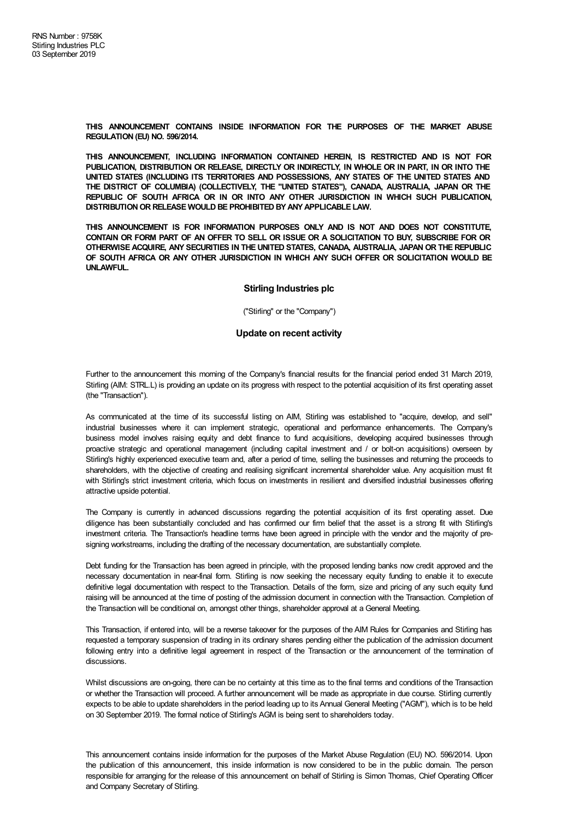**THIS ANNOUNCEMENT CONTAINS INSIDE INFORMATION FOR THE PURPOSES OF THE MARKET ABUSE REGULATION (EU) NO. 596/2014.**

**THIS ANNOUNCEMENT, INCLUDING INFORMATION CONTAINED HEREIN, IS RESTRICTED AND IS NOT FOR PUBLICATION, DISTRIBUTION OR RELEASE, DIRECTLY OR INDIRECTLY, IN WHOLE OR IN PART, IN OR INTO THE UNITED STATES (INCLUDING ITS TERRITORIES AND POSSESSIONS, ANY STATES OF THE UNITED STATES AND THE DISTRICT OF COLUMBIA) (COLLECTIVELY, THE "UNITED STATES"), CANADA, AUSTRALIA, JAPAN OR THE REPUBLIC OF SOUTH AFRICA OR IN OR INTO ANY OTHER JURISDICTION IN WHICH SUCH PUBLICATION, DISTRIBUTIONOR RELEASE WOULD BE PROHIBITED BYANYAPPLICABLE LAW.**

**THIS ANNOUNCEMENT IS FOR INFORMATION PURPOSES ONLY AND IS NOT AND DOES NOT CONSTITUTE,** CONTAIN OR FORM PART OF AN OFFER TO SELL OR ISSUE OR A SOLICITATION TO BUY, SUBSCRIBE FOR OR **OTHERWISE ACQUIRE, ANY SECURITIES IN THE UNITED STATES, CANADA, AUSTRALIA, JAPAN OR THE REPUBLIC OF SOUTH AFRICA OR ANY OTHER JURISDICTION IN WHICH ANY SUCH OFFER OR SOLICITATION WOULD BE UNLAWFUL.**

## **Stirling Industries plc**

("Stirling" or the "Company")

## **Update on recent activity**

Further to the announcement this morning of the Company's financial results for the financial period ended 31 March 2019, Stirling (AIM: STRL.L) is providing an update on its progress with respect to the potential acquisition of its first operating asset (the "Transaction").

As communicated at the time of its successful listing on AIM, Stirling was established to "acquire, develop, and sell" industrial businesses where it can implement strategic, operational and performance enhancements. The Company's business model involves raising equity and debt finance to fund acquisitions, developing acquired businesses through proactive strategic and operational management (including capital investment and / or bolt-on acquisitions) overseen by Stirling's highly experienced executive team and, after a period of time, selling the businesses and returning the proceeds to shareholders, with the objective of creating and realising significant incremental shareholder value. Any acquisition must fit with Stirling's strict investment criteria, which focus on investments in resilient and diversified industrial businesses offering attractive upside potential.

The Company is currently in advanced discussions regarding the potential acquisition of its first operating asset. Due diligence has been substantially concluded and has confirmed our firm belief that the asset is a strong fit with Stirling's investment criteria. The Transaction's headline terms have been agreed in principle with the vendor and the majority of presigning workstreams, including the drafting of the necessary documentation, are substantially complete.

Debt funding for the Transaction has been agreed in principle, with the proposed lending banks now credit approved and the necessary documentation in near-final form. Stirling is now seeking the necessary equity funding to enable it to execute definitive legal documentation with respect to the Transaction. Details of the form, size and pricing of any such equity fund raising will be announced at the time of posting of the admission document in connection with the Transaction. Completion of the Transaction will be conditional on, amongst other things, shareholder approval at a General Meeting.

This Transaction, if entered into, will be a reverse takeover for the purposes of the AIM Rules for Companies and Stirling has requested a temporary suspension of trading in its ordinary shares pending either the publication of the admission document following entry into a definitive legal agreement in respect of the Transaction or the announcement of the termination of discussions.

Whilst discussions are on-going, there can be no certainty at this time as to the final terms and conditions of the Transaction or whether the Transaction will proceed. A further announcement will be made as appropriate in due course. Stirling currently expects to be able to update shareholders in the period leading up to its Annual General Meeting ("AGM"), which is to be held on 30 September 2019. The formal notice of Stirling's AGM is being sent to shareholders today.

This announcement contains inside information for the purposes of the Market Abuse Regulation (EU) NO. 596/2014. Upon the publication of this announcement, this inside information is now considered to be in the public domain. The person responsible for arranging for the release of this announcement on behalf of Stirling is Simon Thomas, Chief Operating Officer and Company Secretary of Stirling.